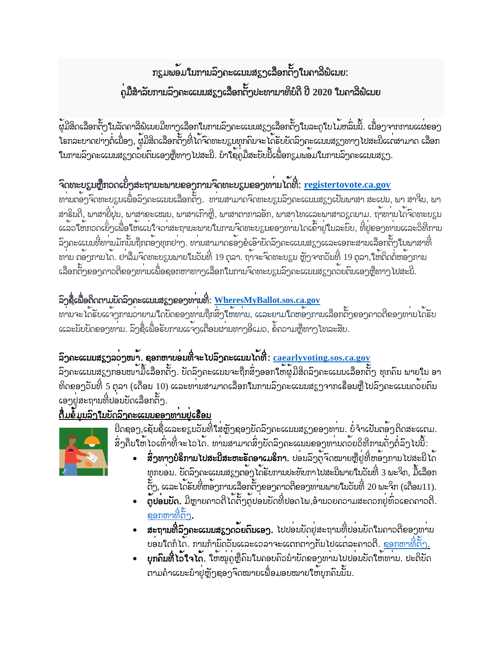# ກຽມພອນໃນການລິງຄະແນນສຽງເລືອກຕັ້ງໃນຄາລີຟໍເນຍ: .<br>ຄູ່ມື້ສໍາລັບການລົງຄະແນນສຽງເລືອກຕັ້ງປະທານາທິບໍດີ ປີ 2020 ໃນຄາລິພໍເນຍ

ູ້ຜູ້ມີສິດເລືອກຕັ້ງໃນລັດຄາລິຟໍເນຍມີທາງເລືອກໃນການລົງຄະແນນສຽງເລືອກຕັ້ງໃນລະດູໃບ ໄມ້ຫລົ່ນນີ້. ເນື່ອງຈາກການແຜ່ຂອງ .<br>ໂຣກລະບາດຢາງຕໍ່ເນື່ອງ, ຜູ້ມີສິດເລືອກຕັ້ງທີ່ໄດ້ຈິດທະບຽນທຸກຄີນຈະ ໄດ້ຮັບບັດລົງຄະແນນສຽງທາງ ໄປສະນີແຕ່ສາມາດ ເລືອກ<br>ໃນການລົງຄະແນນສຽງດວຍຕິນເອງຫຼືທາງ ໄປສະນີ. ນຳໃຊ້ຄູມືສະບັບນີ້ເພື່ອກຽມພວມໃນການລົງຄະແນນສຽງ.

## ີຈິດທະບຽນຫຼືກວດເບິ່ງສະຖານະພາບຂອງການຈິດທະບຽນຂອງທ<sup>່</sup>ານ ໄດ້ທີ່: <u>registertovote.ca.gov</u>

้ ทามตั้งกวิ๊กทะขรูมเพื่อลิ๊กกะแมนล็อทต์กู. ทามสามากวิ๊กทะขรูมลิ๊กกะแมมสรูกเป็นพาสา สะเปม, พา สำวิ๊ม, พา ี ສາຣິນດີ, ພາສາຍີ່ປຸ່ນ, ພາສາຂະເໝນ, ພາສາເກົາຫຼີ, ພາສາຕາກາລອັກ, ພາສາ ໄທແລະພາສາວຽດນາມ. ຖາ້ທານ ໄດ້ຈົດທະບຽນ .<br>ແລ້ວ ໃຫ້ກວດເບິ່ງເພື່ອ ໃຫ້ແນ່ ໃຈວ<sup>່</sup>າສະຖານະພາບ ໃນການຈົດທະບຽນຂອງທ<sup>່</sup>ານ ໄດເຂົ້າຢູ່ ໃນລະບົບ, ທີ່ຢູ່ຂອງທ<sup>່</sup>ານແລະວິທີການ .<br>ລິງຄະແນນທີ່ທ<sub>່</sub>ານມັກນັ້ນຖືກຕ<sup>້</sup>ອງທຸກຢ<sup>່</sup>າງ. ທ<sup>່</sup>ານສາມາດຮ<sup>້</sup>ອງອໍເອົາບັດລິງຄະແນນສ<sub>ູ່ຍ</sub>ັງແລະເອກະສານເລືອກຕັ້ງໃນພາສາທີ່ ທານ ຕອ້ງການໄດ້. ຢາລືມຈິດທະບຽນພາຍໃນວັນທີ່ 19 ຕຸລາ. ຖາ້າະຈິດທະບຽນ ຫຼັງຈາກວັນທີ່ 19 ຕຸລາ,ໃຫ້ຕິດຕໍ່ຫອ້ງການ ຺<br>ເລືອກຕັ້ງຂອງຄາວຕີຂອງທ<sup>່</sup>ານເພື່ອຂອກຫາທາງເລືອກໃນການຈິດທະບຽນລົງຄະແນນສຽງດວຍຕົນເອງຫຼືທາງ ໄປສະນີ.

### ລິງຊື່ເພື່ອຕິດຕາມບັດລິງຄະແນນສຽງຂອງທ $\cdot$ ານທີ່:  $\underline{\text{WheresMyBallot.}sos.ca.gov}$

ทามาะได้รับแจ้าทามอายามใดขัดออาทามทุ๊กสิ่งใช้พาม, และยามใดของทามเลือกถั่งออากาอที่ออาทามได้รับ ccລະນັບບັດຂອງທ່ານ. ລິງຊື່ເພື່ອຮັບການແຈ້ງເຕືອນຜ່ານທາງອີເມວ, ຂໍ້ຄວາມຫຼືທາງ ໂທລະສັບ.

### ລິງຄະແນນສຽງລວງໜ້າ. ຊອກຫາບອນທີ່ຈະໄປລິງຄະແນນ ໄດ້ທີ: caearlyvoting.sos.ca.gov

ີ<br>ລົງຄະແນນສຽງກອນໜ້າມື້ເລືອກຕັ້ງ. ບັດລົງຄະແນນຈະຖືກສິ່ງອອກໃຫ້ຜູ້ມີສິດລົງຄະແນນເລືອກຕັ້ງ ທຸກຄິນ ພາຍໃນ ອາ ທິດຂອງວັນທີ່ 5 ຕຸລາ (ເດືອນ 10) ແລະທານສາມາດເລືອກໃນການລົງຄະແນນສຽງຈາກເຮືອນຫຼື ໄປລົງຄະແນນດວຍຕົນ .<br>ເອງຍູ່ສະຖານທີ່ປອມບັດເລືອກຕັ້ງ.

## <u>ຕື່ມຂໍ້ມູນລົງໃນບັດລົງຄະແນນຂອງທານຍູ່ເຮືອນ</u>



ສິ່ງຄືນໃຫ້`ໂວເທົ່າທີ່ຈະ`ໂວ`ໂດ. ທານສາມາດສິ່ງບັດລົງຄະແນນຂອງທານດວຍວິທີການດັ່ງຕໍ່ລົງ`ໄປນີ້:

- .<br>**ສິ່ງທາງບໍຣິການໄປສະນີສະຫະຣັດອາເມຣິກາ.** ປອນລິງຕູ້ຈິດໝາຍຫຼືຍູ່ທີ່ຫອ<sup>້</sup>ງການໄປສະນີໄດ<sup>້</sup> ທຸກບອນ. ບັດລິງຄະແນນສຽງຕ<sup>້</sup>ອງ ໄດ້ຮັບການປະທັບກາ ໄປສະນີພາຍໃນວັນທີ່ 3 ພະຈິກ, ມື້ເລືອກ ້ຕັ້ງ, ແລະ ໄດ້ຮັບທີ່ຫອັງການເລືອກຕັ້ງຂອງຄາວຕີຂອງທ<sup>່</sup>ານພາຍໃນວັນທີ່ 20 ພະຈິກ (ເດືອນ11).
- .<br>**ตู้ปอมขัด.** ມີຫຼາຍຄາວຕີ ໄດ້ຕັ້ງຕູ້ປອມບັດທີ່ປອດ ໄພ,ອຳນວຍຄວາມສະດວກຢູ່ທີ່ວເຂດຄາວຕີ. ຊອກຫາທີ່ຕ້າ.
- **ສະຖານທີ່ລົງຄະແນນສຽງດວຍຕົນເອງ.** ໄປປອນບັດຢູ່ສະຖານທີ່ປອນບັດໃນຄາວຕີຂອງທ<sup>່</sup>ານ ีขอบใดทิได้. ทามทิามิดอัมและเอลาจะแตกตาวทีมไปแต่ละถาอติ. <u>ຊອກຫາທີ່ຕັ້ງ.</u>
- **ຸ ນຸກຄິນທີ່ ໄວ້ໃຈໄດ<sup>້</sup>.** ໃຫ້ໝູ່ຄູ່ຫຼືຄິນໃນຄອບຄິວນຳ້ບົດຂອງທ<sup>່</sup>ານໄປປອ<sup>່</sup>ນບັດໃຫ້ທ<sub>່</sub>ານ. ປະຕິບັດ ຕາມຄຳແນະນຳຢູ່ຫຼັງຊອງຈົດໝາຍເພື່ອມອບໝາຍໃຫ້ບຸກຄົນນັ້ນ.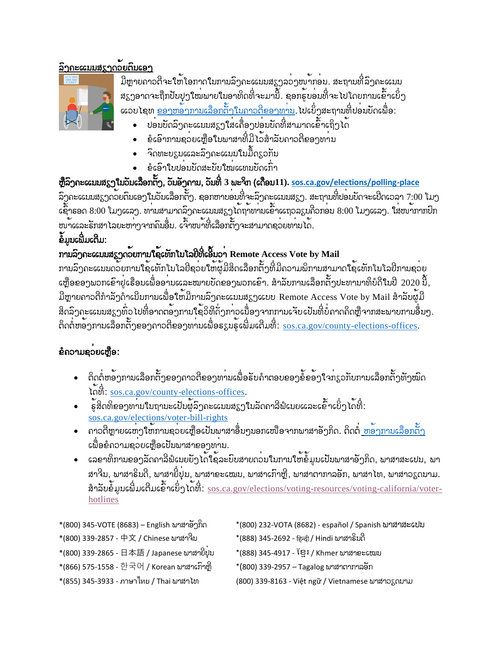#### <u>ລິງຄະແນນສຽງດວຍຕິນເອງ</u>



ມີຫຼາຍຄາວຕິຈະໃຫ້ໂອກາດໃນການລົງຄະແນນສຽງລວງໜ້າກອນ. ສະຖານທີ່ລົງຄະແນນ ສຽງອາດຈະຖືກປັບປຸງໃໝ<sup>່</sup>ພາຍໃນອາທິດທີ່ຈະມານີ້. ຊອກຮູ້ບອ<sup>່</sup>ນທີ່ຈະໄປໂດຍການເຂົ້າເບິ່ງ <u> ແວບໄຊທ <u>ຂອງຫອັງການເລືອກຕັ້ງໃນຄາວຕີຂອງທ<sup>່</sup>ານ</u>. ໄປເບິ່ງສະຖານທີ່ປອນບັດເພື່ອ:</u>

- ู้ ข่อมขัดลิ้ງถะแมมสรูງใส่เลื้อງข่อมขัดที่สามากเอ้้าเท็วได<sup>้</sup>
- ຼ<br>ຂໍເອົາການຊ<sup>່</sup>ວຍເຫຼືອໃນພາສາທີ່ມີ ໄວ<sup>້</sup>ສຳລັບຄາວຕີຂອງທ<sup>່</sup>ານ
- .<br>ຈົດທະບຽນແລະລິງຄະແນນໃນມື້ດຽວກັນ  $\bullet$
- eํ ย์ ริ๊าใขป9่มขัดสะขับใໝ**่** แต่มัดเกิ๊า

#### ຫຼືລິງຄະແນນສຽງໃນວັນເລືອກຕັ້ງ, ວັນອັງຄານ, ວັນທີ່ 3 ພະຈິກ (ເດືອນ11). <u>sos.ca.gov/elections/polling-place</u>

ລິງຄະແນນສຽງດວຍຕົນເອງໃນວັນເລືອກຕັ້ງ. ຊອກຫາບອນທີ່ຈະລິງຄະແນນສຽງ. ສະຖານທີ່ປອນບັດຈະເປີດເວລາ 7:00 ໂມງ ເຊົ້າຮອດ 8:00 ໂມງແລງ. ທ່ານສາມາດລົງຄະແນນສຽງ ໄດ້ຖ້າທ່ານເຂົ້າແຖວລຽນຄິວກອນ 8:00 ໂມງແລງ. ໃສ່ໜ້າກາກປົກ ໜ້າແລະຮັກສາ ໄລຍະຫາງ ຈາກຄົນອື່ນ. ເຈົ້າໜ້າທີ່ເລືອກຕັ້ງຈະສາມາດຊວຍທານ ໄດ້.

#### ຂໍ້ມູນເຜີມເຕີມ:

### ການລົງຄະແນນສຽງດ້ວຍການໃຊ້ເທັກໂນໂລຢີທີ່ເອີ້ນວ່າ Remote Access Vote by Mail

ການລົງຄະແນນດວຍການໃຊ<sup>້</sup>ແທັກໂນໂລຢີຊວຍໃຫ້ຜູ້ມີສິດເລືອກຕັ້ງທີ່ມີຄວາມພິການສາມາດໃຊ<sup>້</sup>ເທັກໂນໂລຢີການຊວຍ  $\sim$ ເຫຼືອຂອງພວກເຂົາຢູ່ເຮືອນເພື່ອອານແລະໝາຍບັດຂອງພວກເຂົາ. ສຳລັບການເລືອກຕັ້ງປະທານາທິບໍດີໃນປີ 2020 ນີ້, ມີຫຼາຍຄາວຕີກຳລັງດຳເນີນການເພື່ອໃຫ້ມີການລົງຄະແນນສຽງແບບ Remote Access Vote by Mail ສຳລັບຜູ້ມີ ີສິດລົງຄະແນນສຽງທົ່ວ ໄປທີ່ອາດຕ<sup>້</sup>ອງການໃຊ<sup>້</sup>ວິທີດັ່ງກ<sup>່</sup>າວເນື່ອງຈາກການເຈັບເປັນທີ່ບໍ່ຄາດຄິດຫຼືຈາກສະພາບການອື່ນໆ. ຕິດຕໍ່ຫຼອງການເລືອກຕັ້ງຂອງຄາວຕີຂອງທ່ານເພື່ອຮຽນຮູ້ເພີ່ມເຕີມທີ່: sos.ca.gov/county-elections-offices.

#### ຂໍຄວາມຂວຍເຫຼືອ:

- ຕິດຕໍ່ຫອ<sup>້</sup>ງການເລືອກຕັ້ງຂອງຄາວຕີຂອງທ<sup>່</sup>ານເພື່ອຮັບຄຳຕອບຂອງຂໍ້ຂອ<sup>້</sup>ງໃຈກ**ູ**່ເວກັບການເລືອກຕັ້ງທັງໝົດ โดชี: <u>sos.ca.gov/county-elections-offices</u>.
- ຮູ້ສິດທິຂອງທ<sup>່</sup>ານໃນຖານະເປັນຜູ້ລິງຄະແນນສຽງໃນລັດຄາລີຟໍເນຍແລະເຂົ້າເບິ່ງ ໄດ້ທີ່: sos.ca.gov/elections/voter-bill-rights
- ຄາວຕີຫຼາຍແຫ່ງໃຫ້ການຊ<sup>່</sup>ວຍເຫຼືອເປັນພາສາອື່ນໆນອກເໜືອຈາກພາສາອັງກິດ. ຕິດຕ<u>ໍ່ ຫອັງການເລືອກຕັ້ງ</u> ເພື່ອຂໍຄວາມຊ<sup>່</sup>ວຍເຫຼືອເປັນພາສາຂອງທ<sup>່</sup>ານ.
- cລອາທິການອອງລັດຄາລີພໍເນຍຍັງ ໄດ<sup>້</sup>ໃຊ້ລະບົບສາຍດວ<sup>່</sup>ມໃນການໃຫ້ຂໍ້ມູນເປັນພາສາອັງກິດ, ພາສາສະເປນ, ພາ ສາຈິນ, ພາສາຮິນດີ, ພາສາຍີ່ປຸ່ນ, ພາສາຂະເໝນ, ພາສາເກົາຫຼີ, ພາສາຕາກາລອັກ, ພາສາໄທ, ພາສາວຽດນາມ. สำลับอั้มมเพิ่มเติมเอ็กเข็าได้ที่: sos.ca.gov/elections/voting-resources/voting-california/voterhotlines
- \*(800) 345-VOTE (8683) English พาสาธิาทิก \*(800) 232-VOTA (8682) - español / Spanish ພາສາສະເປນ
- \*(800) 339-2857 中文 / Chinese ພາສາຈິນ
- \*(800) 339-2865 日本語 / Japanese ພາສາຍີ່ປຸ່ນ
- \*(866) 575-1558 한국어 / Korean ພາສາເກົາຫຼີ
- \*(888) 345-2692 हिन्दी / Hindi พาสาธิบดี
- \*(888) 345-4917 โ้ยูิัั / Khmer ພາສາຂະເໝນ
	- \*(800) 339-2957 Tagalog พาสาตาภาลอีก
- \*(855) 345-3933 ภาษาไทย / Thai ພາສາ **ໄ**ທ
- (800) 339-8163 Việt ngữ / Vietnamese พาสาวรูดมาม